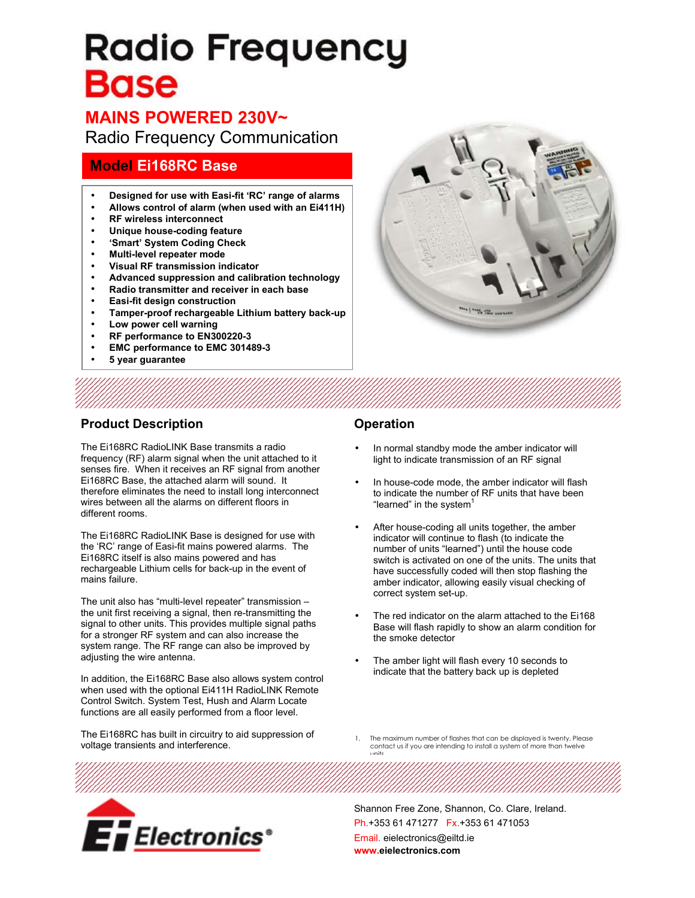# **Radio Frequency** Base

# **MAINS POWERED 230V~**

Radio Frequency Communication

# **Model Ei168RC Base**

- **Designed for use with Easi-fit 'RC' range of alarms**
- **Allows control of alarm (when used with an Ei411H)**
- **RF wireless interconnect**
- **Unique house-coding feature**
- **'Smart' System Coding Check**
- **Multi-level repeater mode**
- **Visual RF transmission indicator**
- **Advanced suppression and calibration technology**
- **Radio transmitter and receiver in each base**
- **Easi-fit design construction**
- **Tamper-proof rechargeable Lithium battery back-up**
- **Low power cell warning**
- **RF performance to EN300220-3**
- **EMC performance to EMC 301489-3**
- **5 year guarantee**

# and have film you

### **Product Description**

The Ei168RC RadioLINK Base transmits a radio frequency (RF) alarm signal when the unit attached to it senses fire. When it receives an RF signal from another Ei168RC Base, the attached alarm will sound. It therefore eliminates the need to install long interconnect wires between all the alarms on different floors in different rooms.

The Ei168RC RadioLINK Base is designed for use with the 'RC' range of Easi-fit mains powered alarms. The Ei168RC itself is also mains powered and has rechargeable Lithium cells for back-up in the event of mains failure.

The unit also has "multi-level repeater" transmission – the unit first receiving a signal, then re-transmitting the signal to other units. This provides multiple signal paths for a stronger RF system and can also increase the system range. The RF range can also be improved by adjusting the wire antenna.

In addition, the Ei168RC Base also allows system control when used with the optional Ei411H RadioLINK Remote Control Switch. System Test, Hush and Alarm Locate functions are all easily performed from a floor level.

The Ei168RC has built in circuitry to aid suppression of voltage transients and interference.

### **Operation**

- In normal standby mode the amber indicator will light to indicate transmission of an RF signal
- In house-code mode, the amber indicator will flash to indicate the number of RF units that have been "learned" in the system<sup>1</sup>
- After house-coding all units together, the amber indicator will continue to flash (to indicate the number of units "learned") until the house code switch is activated on one of the units. The units that have successfully coded will then stop flashing the amber indicator, allowing easily visual checking of correct system set-up.
- The red indicator on the alarm attached to the Ei168 Base will flash rapidly to show an alarm condition for the smoke detector
- The amber light will flash every 10 seconds to indicate that the battery back up is depleted
- 1. The maximum number of flashes that can be displayed is twenty, Please contact us if you are intending to install a system of more than twelve units



Shannon Free Zone, Shannon, Co. Clare, Ireland. Ph.+353 61 471277 Fx.+353 61 471053 Email. eielectronics@eiltd.ie **www.eielectronics.com**